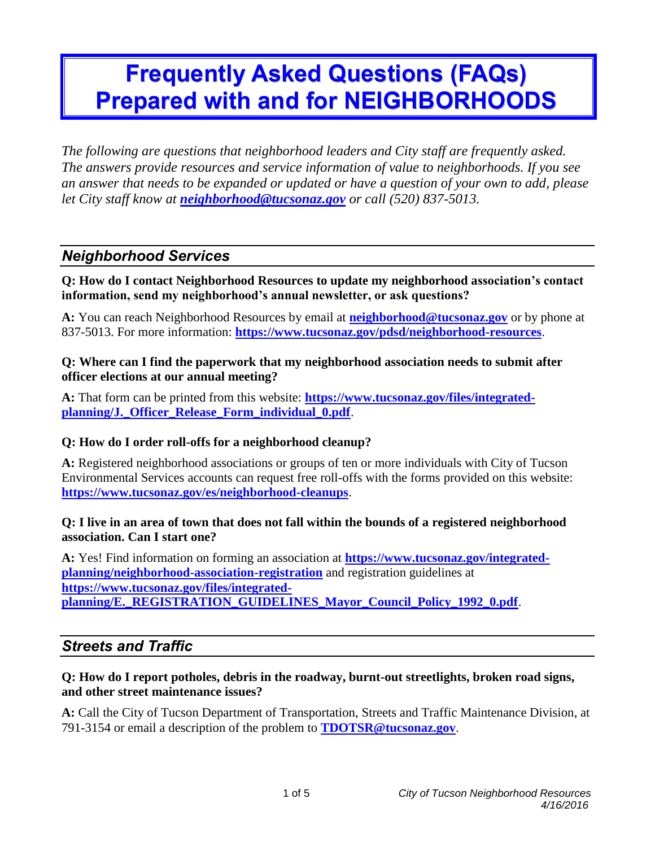# **Frequently Asked Questions (FAQs) Prepared with and for NEIGHBORHOODS**

*The following are questions that neighborhood leaders and City staff are frequently asked. The answers provide resources and service information of value to neighborhoods. If you see an answer that needs to be expanded or updated or have a question of your own to add, please let City staff know at [neighborhood@tucsonaz.gov](mailto:neighborhood@tucsonaz.gov) or call (520) 837-5013.*

# *Neighborhood Services*

**Q: How do I contact Neighborhood Resources to update my neighborhood association's contact information, send my neighborhood's annual newsletter, or ask questions?**

**A:** You can reach Neighborhood Resources by email at **[neighborhood@tucsonaz.gov](mailto:neighborhood@tucsonaz.gov)** or by phone at 837-5013. For more information: **<https://www.tucsonaz.gov/pdsd/neighborhood-resources>**.

#### **Q: Where can I find the paperwork that my neighborhood association needs to submit after officer elections at our annual meeting?**

**A:** That form can be printed from this website: **[https://www.tucsonaz.gov/files/integrated](https://www.tucsonaz.gov/files/integrated-planning/J._Officer_Release_Form_individual_0.pdf)[planning/J.\\_Officer\\_Release\\_Form\\_individual\\_0.pdf](https://www.tucsonaz.gov/files/integrated-planning/J._Officer_Release_Form_individual_0.pdf)**.

#### **Q: How do I order roll-offs for a neighborhood cleanup?**

**A:** Registered neighborhood associations or groups of ten or more individuals with City of Tucson Environmental Services accounts can request free roll-offs with the forms provided on this website: **<https://www.tucsonaz.gov/es/neighborhood-cleanups>**.

#### **Q: I live in an area of town that does not fall within the bounds of a registered neighborhood association. Can I start one?**

**A:** Yes! Find information on forming an association at **[https://www.tucsonaz.gov/integrated](https://www.tucsonaz.gov/integrated-planning/neighborhood-association-registration)[planning/neighborhood-association-registration](https://www.tucsonaz.gov/integrated-planning/neighborhood-association-registration)** and registration guidelines at **[https://www.tucsonaz.gov/files/integrated](https://www.tucsonaz.gov/files/integrated-planning/E._REGISTRATION_GUIDELINES_Mayor_Council_Policy_1992_0.pdf)[planning/E.\\_REGISTRATION\\_GUIDELINES\\_Mayor\\_Council\\_Policy\\_1992\\_0.pdf](https://www.tucsonaz.gov/files/integrated-planning/E._REGISTRATION_GUIDELINES_Mayor_Council_Policy_1992_0.pdf)**.

# *Streets and Traffic*

#### **Q: How do I report potholes, debris in the roadway, burnt-out streetlights, broken road signs, and other street maintenance issues?**

**A:** Call the City of Tucson Department of Transportation, Streets and Traffic Maintenance Division, at 791-3154 or email a description of the problem to **[TDOTSR@tucsonaz.gov](mailto:TDOTSR@tucsonaz.gov)**.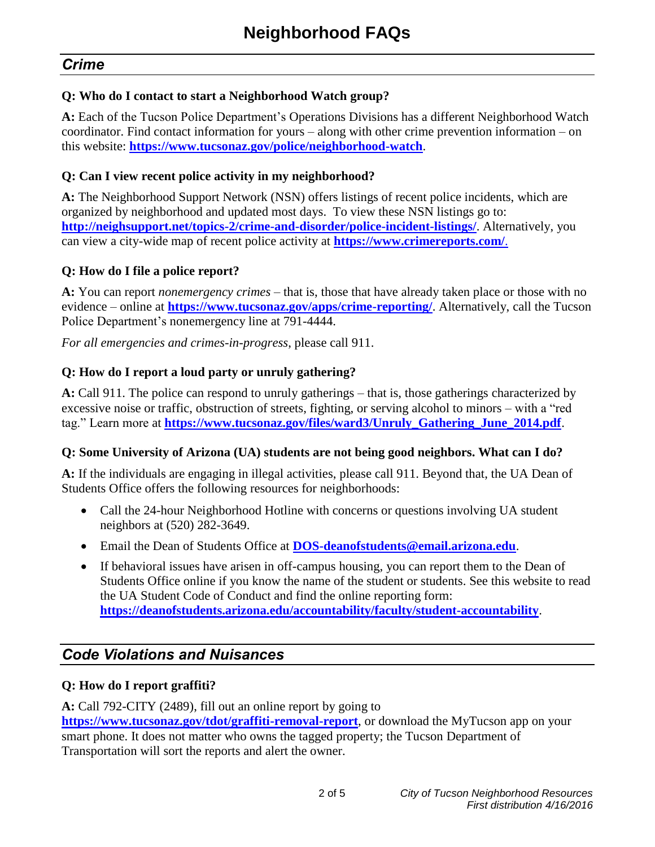# *Crime*

#### **Q: Who do I contact to start a Neighborhood Watch group?**

**A:** Each of the Tucson Police Department's Operations Divisions has a different Neighborhood Watch coordinator. Find contact information for yours – along with other crime prevention information – on this website: **<https://www.tucsonaz.gov/police/neighborhood-watch>**.

#### **Q: Can I view recent police activity in my neighborhood?**

**A:** The Neighborhood Support Network (NSN) offers listings of recent police incidents, which are organized by neighborhood and updated most days. To view these NSN listings go to: **<http://neighsupport.net/topics-2/crime-and-disorder/police-incident-listings/>**. Alternatively, you can view a city-wide map of recent police activity at **<https://www.crimereports.com/>**.

#### **Q: How do I file a police report?**

**A:** You can report *nonemergency crimes* – that is, those that have already taken place or those with no evidence – online at **<https://www.tucsonaz.gov/apps/crime-reporting/>**. Alternatively, call the Tucson Police Department's nonemergency line at 791-4444.

*For all emergencies and crimes-in-progress*, please call 911.

#### **Q: How do I report a loud party or unruly gathering?**

**A:** Call 911. The police can respond to unruly gatherings – that is, those gatherings characterized by excessive noise or traffic, obstruction of streets, fighting, or serving alcohol to minors – with a "red tag." Learn more at **[https://www.tucsonaz.gov/files/ward3/Unruly\\_Gathering\\_June\\_2014.pdf](https://www.tucsonaz.gov/files/ward3/Unruly_Gathering_June_2014.pdf)**.

#### **Q: Some University of Arizona (UA) students are not being good neighbors. What can I do?**

**A:** If the individuals are engaging in illegal activities, please call 911. Beyond that, the UA Dean of Students Office offers the following resources for neighborhoods:

- Call the 24-hour Neighborhood Hotline with concerns or questions involving UA student neighbors at (520) 282-3649.
- Email the Dean of Students Office at **[DOS-deanofstudents@email.arizona.edu](mailto:DOS-deanofstudents@email.arizona.edu)**.
- If behavioral issues have arisen in off-campus housing, you can report them to the Dean of Students Office online if you know the name of the student or students. See this website to read the UA Student Code of Conduct and find the online reporting form: **<https://deanofstudents.arizona.edu/accountability/faculty/student-accountability>**.

# *Code Violations and Nuisances*

#### **Q: How do I report graffiti?**

**A:** Call 792-CITY (2489), fill out an online report by going to **<https://www.tucsonaz.gov/tdot/graffiti-removal-report>**, or download the MyTucson app on your smart phone. It does not matter who owns the tagged property; the Tucson Department of

Transportation will sort the reports and alert the owner.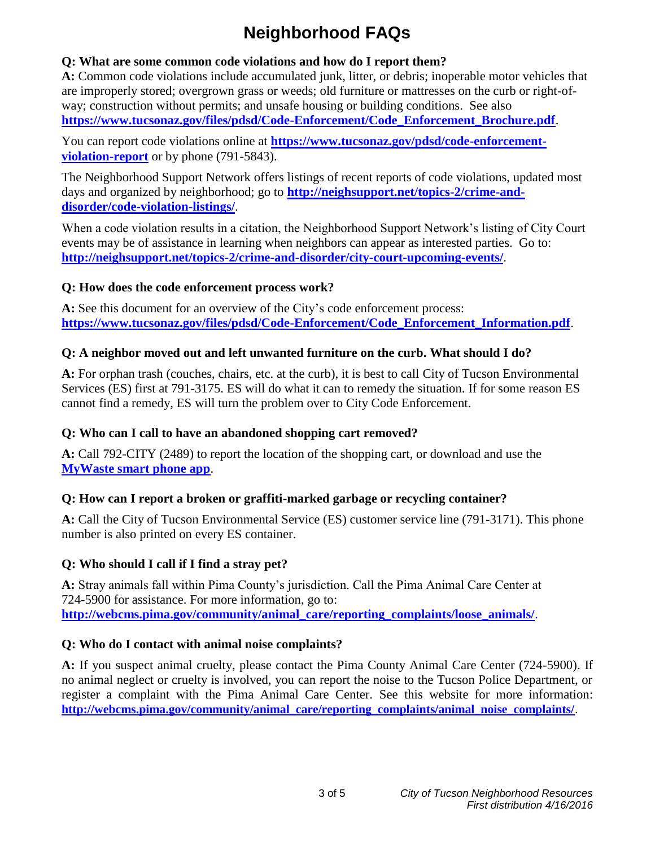# **Neighborhood FAQs**

#### **Q: What are some common code violations and how do I report them?**

**A:** Common code violations include accumulated junk, litter, or debris; inoperable motor vehicles that are improperly stored; overgrown grass or weeds; old furniture or mattresses on the curb or right-ofway; construction without permits; and unsafe housing or building conditions. See also **[https://www.tucsonaz.gov/files/pdsd/Code-Enforcement/Code\\_Enforcement\\_Brochure.pdf](https://www.tucsonaz.gov/files/pdsd/Code-Enforcement/Code_Enforcement_Brochure.pdf)**.

You can report code violations online at **[https://www.tucsonaz.gov/pdsd/code-enforcement](https://www.tucsonaz.gov/pdsd/code-enforcement-violation-report)[violation-report](https://www.tucsonaz.gov/pdsd/code-enforcement-violation-report)** or by phone (791-5843).

The Neighborhood Support Network offers listings of recent reports of code violations, updated most days and organized by neighborhood; go to **[http://neighsupport.net/topics-2/crime-and](http://neighsupport.net/topics-2/crime-and-disorder/code-violation-listings/)[disorder/code-violation-listings/](http://neighsupport.net/topics-2/crime-and-disorder/code-violation-listings/)**.

When a code violation results in a citation, the Neighborhood Support Network's listing of City Court events may be of assistance in learning when neighbors can appear as interested parties. Go to: **<http://neighsupport.net/topics-2/crime-and-disorder/city-court-upcoming-events/>**.

#### **Q: How does the code enforcement process work?**

**A:** See this document for an overview of the City's code enforcement process: **[https://www.tucsonaz.gov/files/pdsd/Code-Enforcement/Code\\_Enforcement\\_Information.pdf](https://www.tucsonaz.gov/files/pdsd/Code-Enforcement/Code_Enforcement_Information.pdf)**.

# **Q: A neighbor moved out and left unwanted furniture on the curb. What should I do?**

**A:** For orphan trash (couches, chairs, etc. at the curb), it is best to call City of Tucson Environmental Services (ES) first at 791-3175. ES will do what it can to remedy the situation. If for some reason ES cannot find a remedy, ES will turn the problem over to City Code Enforcement.

# **Q: Who can I call to have an abandoned shopping cart removed?**

**A:** Call 792-CITY (2489) to report the location of the shopping cart, or download and use the **[MyWaste smart phone app](http://www.my-waste.mobi/AZ-Tucson/)**.

# **Q: How can I report a broken or graffiti-marked garbage or recycling container?**

**A:** Call the City of Tucson Environmental Service (ES) customer service line (791-3171). This phone number is also printed on every ES container.

# **Q: Who should I call if I find a stray pet?**

**A:** Stray animals fall within Pima County's jurisdiction. Call the Pima Animal Care Center at 724-5900 for assistance. For more information, go to: **[http://webcms.pima.gov/community/animal\\_care/reporting\\_complaints/loose\\_animals/](http://webcms.pima.gov/community/animal_care/reporting_complaints/loose_animals/)**.

# **Q: Who do I contact with animal noise complaints?**

**A:** If you suspect animal cruelty, please contact the Pima County Animal Care Center (724-5900). If no animal neglect or cruelty is involved, you can report the noise to the Tucson Police Department, or register a complaint with the Pima Animal Care Center. See this website for more information: **[http://webcms.pima.gov/community/animal\\_care/reporting\\_complaints/animal\\_noise\\_complaints/](http://webcms.pima.gov/community/animal_care/reporting_complaints/animal_noise_complaints/)**.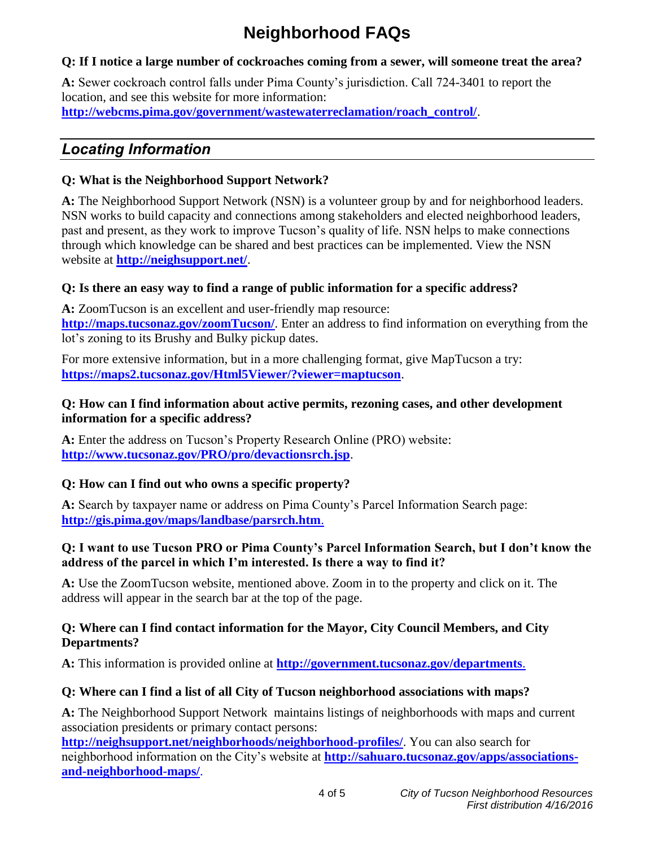# **Neighborhood FAQs**

#### **Q: If I notice a large number of cockroaches coming from a sewer, will someone treat the area?**

**A:** Sewer cockroach control falls under Pima County's jurisdiction. Call 724-3401 to report the location, and see this website for more information: **[http://webcms.pima.gov/government/wastewaterreclamation/roach\\_control/](http://webcms.pima.gov/government/wastewaterreclamation/roach_control/)**.

# *Locating Information*

### **Q: What is the Neighborhood Support Network?**

**A:** The Neighborhood Support Network (NSN) is a volunteer group by and for neighborhood leaders. NSN works to build capacity and connections among stakeholders and elected neighborhood leaders, past and present, as they work to improve Tucson's quality of life. NSN helps to make connections through which knowledge can be shared and best practices can be implemented. View the NSN website at **<http://neighsupport.net/>**.

# **Q: Is there an easy way to find a range of public information for a specific address?**

**A:** ZoomTucson is an excellent and user-friendly map resource: **<http://maps.tucsonaz.gov/zoomTucson/>**. Enter an address to find information on everything from the lot's zoning to its Brushy and Bulky pickup dates.

For more extensive information, but in a more challenging format, give MapTucson a try: **<https://maps2.tucsonaz.gov/Html5Viewer/?viewer=maptucson>**.

#### **Q: How can I find information about active permits, rezoning cases, and other development information for a specific address?**

**A:** Enter the address on Tucson's Property Research Online (PRO) website: **<http://www.tucsonaz.gov/PRO/pro/devactionsrch.jsp>**.

# **Q: How can I find out who owns a specific property?**

**A:** Search by taxpayer name or address on Pima County's Parcel Information Search page: **<http://gis.pima.gov/maps/landbase/parsrch.htm>**.

#### **Q: I want to use Tucson PRO or Pima County's Parcel Information Search, but I don't know the address of the parcel in which I'm interested. Is there a way to find it?**

**A:** Use the ZoomTucson website, mentioned above. Zoom in to the property and click on it. The address will appear in the search bar at the top of the page.

#### **Q: Where can I find contact information for the Mayor, City Council Members, and City Departments?**

**A:** This information is provided online at **<http://government.tucsonaz.gov/departments>**.

# **Q: Where can I find a list of all City of Tucson neighborhood associations with maps?**

**A:** The Neighborhood Support Network maintains listings of neighborhoods with maps and current association presidents or primary contact persons:

**<http://neighsupport.net/neighborhoods/neighborhood-profiles/>**. You can also search for neighborhood information on the City's website at **[http://sahuaro.tucsonaz.gov/apps/associations](http://sahuaro.tucsonaz.gov/apps/associations-and-neighborhood-maps/)[and-neighborhood-maps/](http://sahuaro.tucsonaz.gov/apps/associations-and-neighborhood-maps/)**.